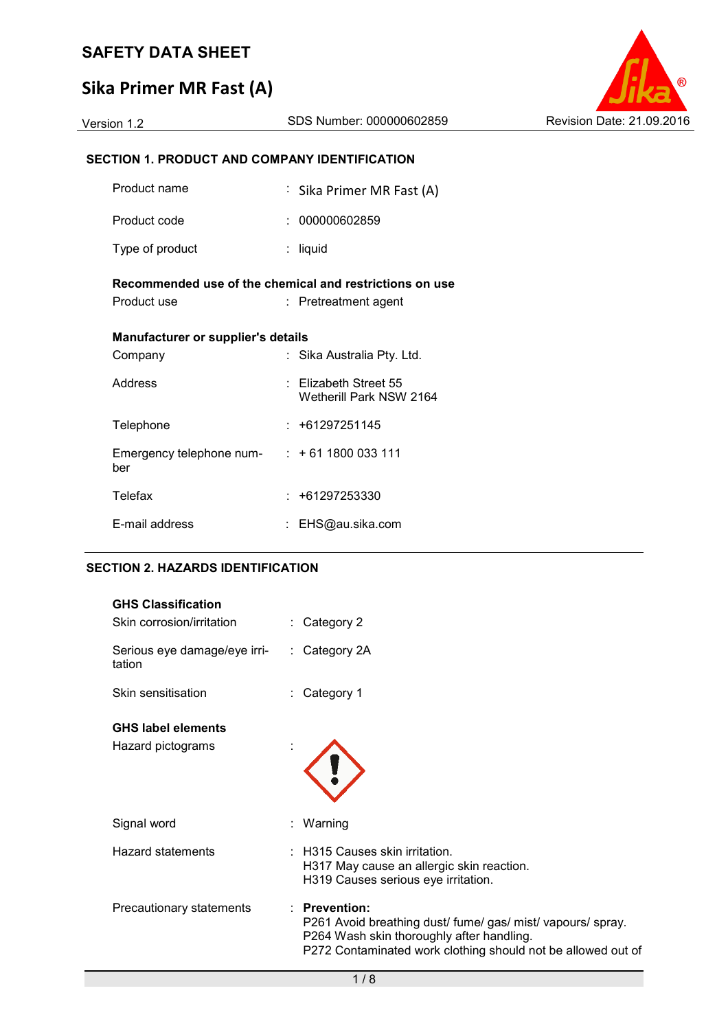# **Sika Primer MR Fast (A)**

| Version 1.2 |  |  |
|-------------|--|--|
|             |  |  |

## **SECTION 1. PRODUCT AND COMPANY IDENTIFICATION**

| Product name                                                           | : Sika Primer MR Fast (A)                            |
|------------------------------------------------------------------------|------------------------------------------------------|
| Product code                                                           | 000000602859                                         |
| Type of product                                                        | liquid                                               |
| Recommended use of the chemical and restrictions on use<br>Product use | $:$ Pretreatment agent                               |
| <b>Manufacturer or supplier's details</b>                              |                                                      |
| Company                                                                | Sika Australia Pty. Ltd.                             |
| Address                                                                | $\pm$ Elizabeth Street 55<br>Wetherill Park NSW 2164 |
| Telephone                                                              | $: +61297251145$                                     |
| Emergency telephone num- $: +61 1800 033 111$<br>ber                   |                                                      |
| Telefax                                                                | : +61297253330                                       |
| E-mail address                                                         | EHS@au.sika.com                                      |

## **SECTION 2. HAZARDS IDENTIFICATION**

| <b>GHS Classification</b><br>Skin corrosion/irritation | $:$ Category 2                                                                                                                                                                                 |  |
|--------------------------------------------------------|------------------------------------------------------------------------------------------------------------------------------------------------------------------------------------------------|--|
| Serious eye damage/eye irri-<br>tation                 | $:$ Category 2A                                                                                                                                                                                |  |
| Skin sensitisation                                     | Category 1                                                                                                                                                                                     |  |
| <b>GHS label elements</b><br>Hazard pictograms         |                                                                                                                                                                                                |  |
| Signal word                                            | Warning                                                                                                                                                                                        |  |
| <b>Hazard statements</b>                               | <b>H315 Causes skin irritation.</b><br>H317 May cause an allergic skin reaction.<br>H319 Causes serious eye irritation.                                                                        |  |
| Precautionary statements                               | <b>Prevention:</b><br>P261 Avoid breathing dust/ fume/ gas/ mist/ vapours/ spray.<br>P264 Wash skin thoroughly after handling.<br>P272 Contaminated work clothing should not be allowed out of |  |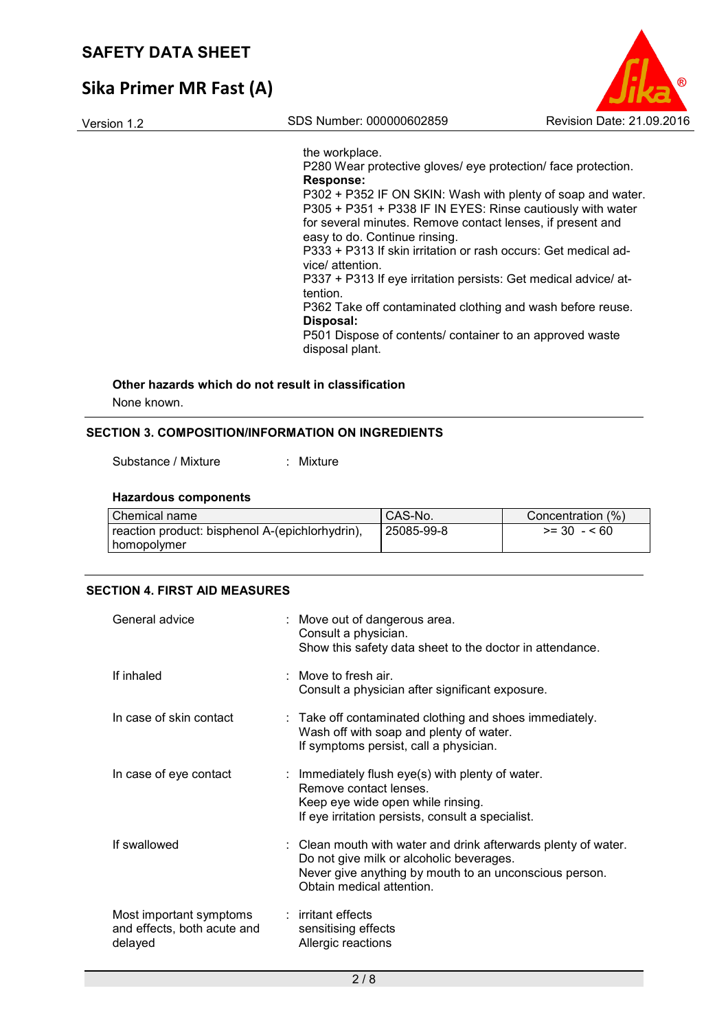## **Sika Primer MR Fast (A)**

Version 1.2 SDS Number: 000000602859 Revision Date: 21.09.2016

the workplace.

P280 Wear protective gloves/ eye protection/ face protection. **Response:**  P302 + P352 IF ON SKIN: Wash with plenty of soap and water. P305 + P351 + P338 IF IN EYES: Rinse cautiously with water for several minutes. Remove contact lenses, if present and easy to do. Continue rinsing. P333 + P313 If skin irritation or rash occurs: Get medical advice/ attention. P337 + P313 If eye irritation persists: Get medical advice/ attention. P362 Take off contaminated clothing and wash before reuse. **Disposal:**  P501 Dispose of contents/ container to an approved waste disposal plant.

## **Other hazards which do not result in classification**

None known.

## **SECTION 3. COMPOSITION/INFORMATION ON INGREDIENTS**

Substance / Mixture : Mixture

#### **Hazardous components**

| Chemical name                                   | CAS-No.    | Concentration (%) |
|-------------------------------------------------|------------|-------------------|
| reaction product: bisphenol A-(epichlorhydrin), | 25085-99-8 | $>= 30 - 60$      |
| homopolymer                                     |            |                   |

## **SECTION 4. FIRST AID MEASURES**

| General advice                                                    | : Move out of dangerous area.<br>Consult a physician.<br>Show this safety data sheet to the doctor in attendance.                                                                                 |
|-------------------------------------------------------------------|---------------------------------------------------------------------------------------------------------------------------------------------------------------------------------------------------|
| If inhaled                                                        | : Move to fresh air.<br>Consult a physician after significant exposure.                                                                                                                           |
| In case of skin contact                                           | $\therefore$ Take off contaminated clothing and shoes immediately.<br>Wash off with soap and plenty of water.<br>If symptoms persist, call a physician.                                           |
| In case of eye contact                                            | : Immediately flush eye(s) with plenty of water.<br>Remove contact lenses.<br>Keep eye wide open while rinsing.<br>If eye irritation persists, consult a specialist.                              |
| If swallowed                                                      | : Clean mouth with water and drink afterwards plenty of water.<br>Do not give milk or alcoholic beverages.<br>Never give anything by mouth to an unconscious person.<br>Obtain medical attention. |
| Most important symptoms<br>and effects, both acute and<br>delayed | $:$ irritant effects<br>sensitising effects<br>Allergic reactions                                                                                                                                 |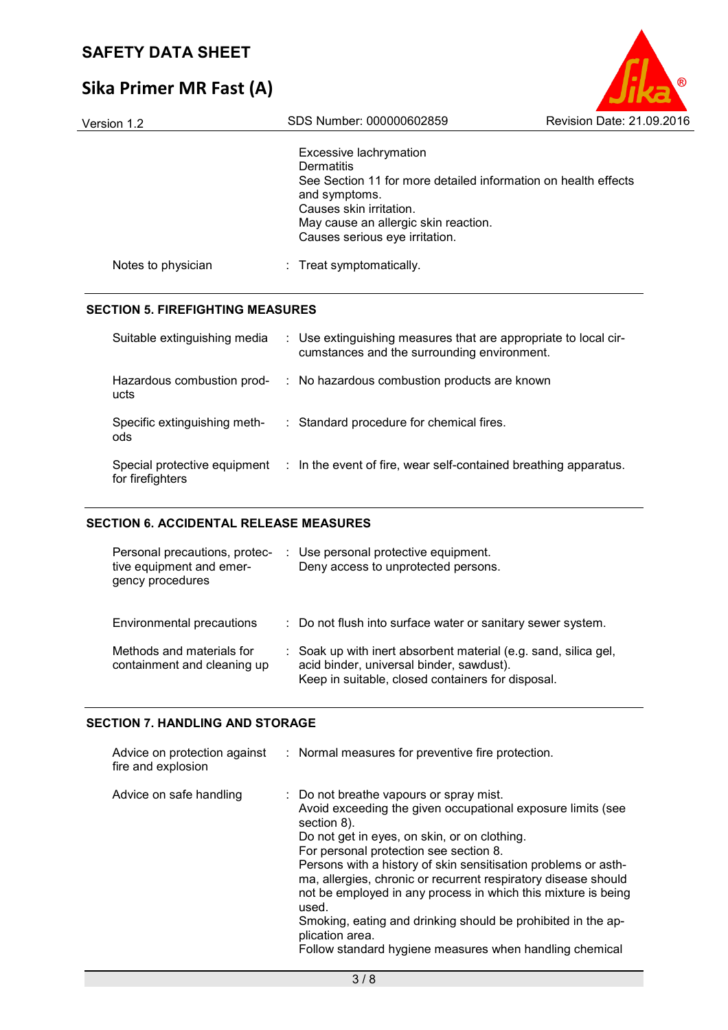# **Sika Primer MR Fast (A)**

| Version 1.2        | SDS Number: 000000602859                                                                                                                                                                                                     | Revision Date: 21.09.2016 |
|--------------------|------------------------------------------------------------------------------------------------------------------------------------------------------------------------------------------------------------------------------|---------------------------|
|                    | Excessive lachrymation<br>Dermatitis<br>See Section 11 for more detailed information on health effects<br>and symptoms.<br>Causes skin irritation.<br>May cause an allergic skin reaction.<br>Causes serious eye irritation. |                           |
| Notes to physician | : Treat symptomatically.                                                                                                                                                                                                     |                           |
|                    |                                                                                                                                                                                                                              |                           |

## **SECTION 5. FIREFIGHTING MEASURES**

| Suitable extinguishing media                     | : Use extinguishing measures that are appropriate to local cir-<br>cumstances and the surrounding environment. |
|--------------------------------------------------|----------------------------------------------------------------------------------------------------------------|
| Hazardous combustion prod-<br>ucts               | : No hazardous combustion products are known                                                                   |
| Specific extinguishing meth-<br>ods              | : Standard procedure for chemical fires.                                                                       |
| Special protective equipment<br>for firefighters | : In the event of fire, wear self-contained breathing apparatus.                                               |

## **SECTION 6. ACCIDENTAL RELEASE MEASURES**

| Personal precautions, protec-<br>tive equipment and emer-<br>gency procedures | : Use personal protective equipment.<br>Deny access to unprotected persons.                                                                                      |
|-------------------------------------------------------------------------------|------------------------------------------------------------------------------------------------------------------------------------------------------------------|
| <b>Environmental precautions</b>                                              | : Do not flush into surface water or sanitary sewer system.                                                                                                      |
| Methods and materials for<br>containment and cleaning up                      | : Soak up with inert absorbent material (e.g. sand, silica gel,<br>acid binder, universal binder, sawdust).<br>Keep in suitable, closed containers for disposal. |

## **SECTION 7. HANDLING AND STORAGE**

| Advice on protection against<br>fire and explosion | : Normal measures for preventive fire protection.                                                                                                                                                                                                                                                                                                                                                                                                                                                                                                                           |
|----------------------------------------------------|-----------------------------------------------------------------------------------------------------------------------------------------------------------------------------------------------------------------------------------------------------------------------------------------------------------------------------------------------------------------------------------------------------------------------------------------------------------------------------------------------------------------------------------------------------------------------------|
| Advice on safe handling                            | : Do not breathe vapours or spray mist.<br>Avoid exceeding the given occupational exposure limits (see<br>section 8).<br>Do not get in eyes, on skin, or on clothing.<br>For personal protection see section 8.<br>Persons with a history of skin sensitisation problems or asth-<br>ma, allergies, chronic or recurrent respiratory disease should<br>not be employed in any process in which this mixture is being<br>used.<br>Smoking, eating and drinking should be prohibited in the ap-<br>plication area.<br>Follow standard hygiene measures when handling chemical |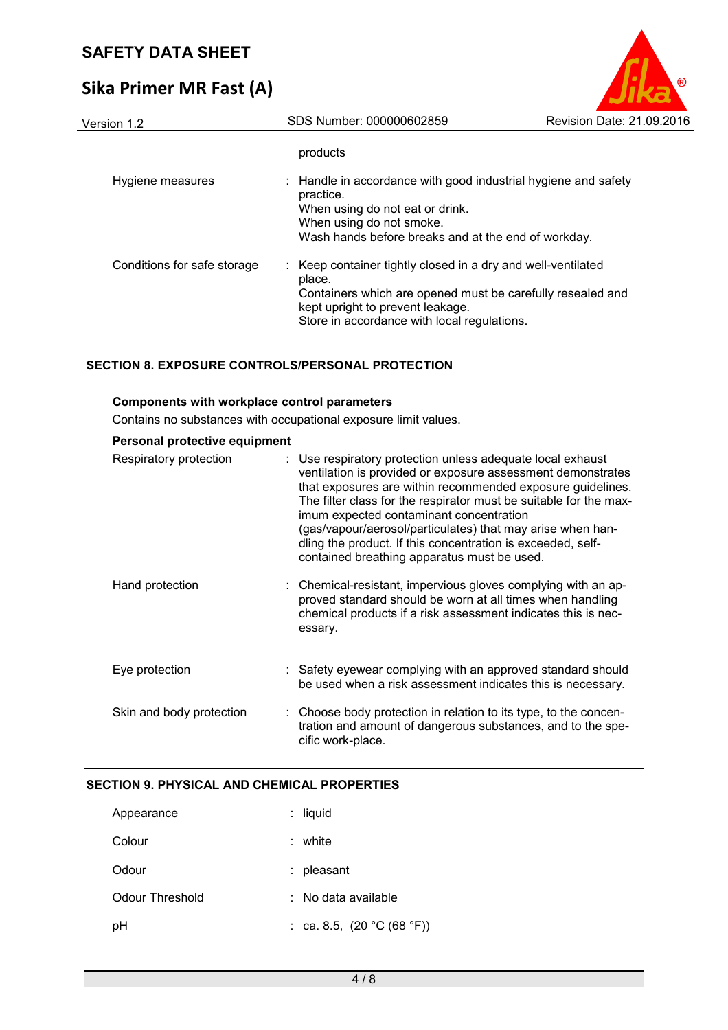# **Sika Primer MR Fast (A)**

| Version 1.2                 | SDS Number: 000000602859                                                                                                                                                                                                | Revision Date: 21.09.2016 |
|-----------------------------|-------------------------------------------------------------------------------------------------------------------------------------------------------------------------------------------------------------------------|---------------------------|
|                             | products                                                                                                                                                                                                                |                           |
| Hygiene measures            | : Handle in accordance with good industrial hygiene and safety<br>practice.<br>When using do not eat or drink.<br>When using do not smoke.<br>Wash hands before breaks and at the end of workday.                       |                           |
| Conditions for safe storage | : Keep container tightly closed in a dry and well-ventilated<br>place.<br>Containers which are opened must be carefully resealed and<br>kept upright to prevent leakage.<br>Store in accordance with local regulations. |                           |

## **SECTION 8. EXPOSURE CONTROLS/PERSONAL PROTECTION**

## **Components with workplace control parameters**

Contains no substances with occupational exposure limit values.

| Personal protective equipment |                                                                                                                                                                                                                                                                                                                                                                                                                                                                                     |
|-------------------------------|-------------------------------------------------------------------------------------------------------------------------------------------------------------------------------------------------------------------------------------------------------------------------------------------------------------------------------------------------------------------------------------------------------------------------------------------------------------------------------------|
| Respiratory protection        | : Use respiratory protection unless adequate local exhaust<br>ventilation is provided or exposure assessment demonstrates<br>that exposures are within recommended exposure guidelines.<br>The filter class for the respirator must be suitable for the max-<br>imum expected contaminant concentration<br>(gas/vapour/aerosol/particulates) that may arise when han-<br>dling the product. If this concentration is exceeded, self-<br>contained breathing apparatus must be used. |
| Hand protection               | : Chemical-resistant, impervious gloves complying with an ap-<br>proved standard should be worn at all times when handling<br>chemical products if a risk assessment indicates this is nec-<br>essary.                                                                                                                                                                                                                                                                              |
| Eye protection                | : Safety eyewear complying with an approved standard should<br>be used when a risk assessment indicates this is necessary.                                                                                                                                                                                                                                                                                                                                                          |
| Skin and body protection      | : Choose body protection in relation to its type, to the concen-<br>tration and amount of dangerous substances, and to the spe-<br>cific work-place.                                                                                                                                                                                                                                                                                                                                |

## **SECTION 9. PHYSICAL AND CHEMICAL PROPERTIES**

| Appearance      | liquid<br>t.                 |
|-----------------|------------------------------|
| Colour          | white                        |
| Odour           | : pleasant                   |
| Odour Threshold | $:$ No data available        |
| рH              | : ca. 8.5, $(20 °C (68 °F))$ |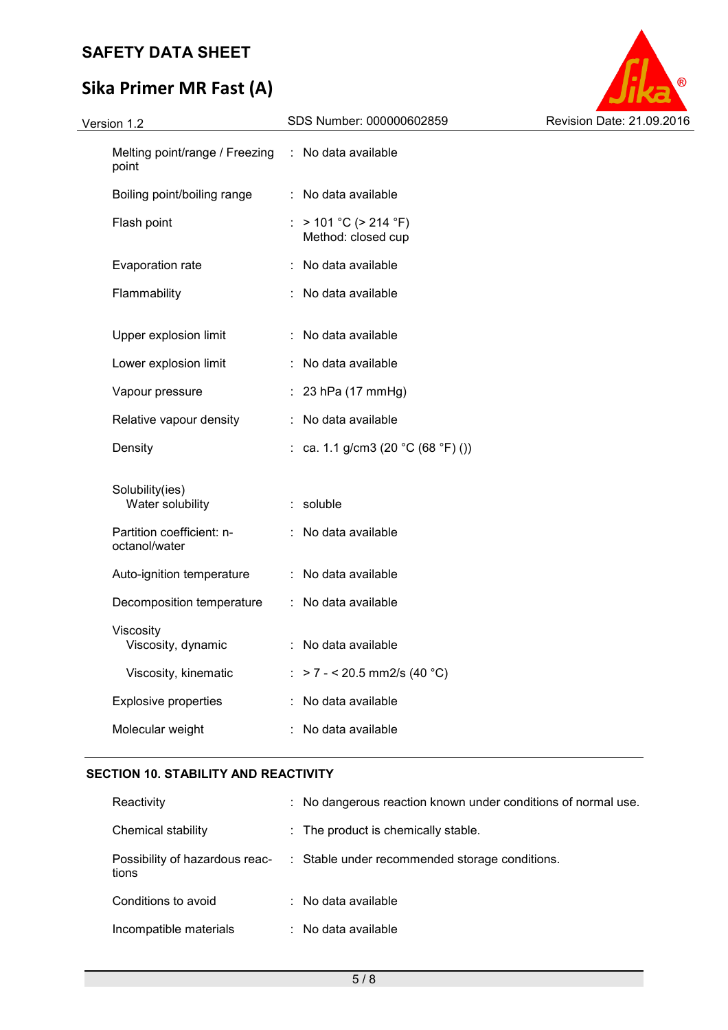# **Sika Primer MR Fast (A)**



| Version 1.2 |                                            | SDS Number: 000000602859                               | Revision Date: 21.09.2016 |
|-------------|--------------------------------------------|--------------------------------------------------------|---------------------------|
|             | Melting point/range / Freezing<br>point    | : No data available                                    |                           |
|             | Boiling point/boiling range                | : No data available                                    |                           |
|             | Flash point                                | : $> 101 °C$ ( $> 214 °F$ )<br>Method: closed cup      |                           |
|             | Evaporation rate                           | : No data available                                    |                           |
|             | Flammability                               | : No data available                                    |                           |
|             | Upper explosion limit                      | : No data available                                    |                           |
|             | Lower explosion limit                      | : No data available                                    |                           |
|             | Vapour pressure                            | $: 23$ hPa (17 mmHg)                                   |                           |
|             | Relative vapour density                    | : No data available                                    |                           |
|             | Density                                    | : ca. 1.1 g/cm3 (20 $^{\circ}$ C (68 $^{\circ}$ F) ()) |                           |
|             | Solubility(ies)<br>Water solubility        | : soluble                                              |                           |
|             | Partition coefficient: n-<br>octanol/water | : No data available                                    |                           |
|             | Auto-ignition temperature                  | : No data available                                    |                           |
|             | Decomposition temperature                  | : No data available                                    |                           |
|             | Viscosity<br>Viscosity, dynamic            | : No data available                                    |                           |
|             | Viscosity, kinematic                       | : > 7 - < 20.5 mm2/s (40 °C)                           |                           |
|             | <b>Explosive properties</b>                | : No data available                                    |                           |
|             | Molecular weight                           | : No data available                                    |                           |
|             |                                            |                                                        |                           |

## **SECTION 10. STABILITY AND REACTIVITY**

| Reactivity                              | : No dangerous reaction known under conditions of normal use. |
|-----------------------------------------|---------------------------------------------------------------|
| Chemical stability                      | $\therefore$ The product is chemically stable.                |
| Possibility of hazardous reac-<br>tions | : Stable under recommended storage conditions.                |
| Conditions to avoid                     | $\therefore$ No data available                                |
| Incompatible materials                  | : No data available                                           |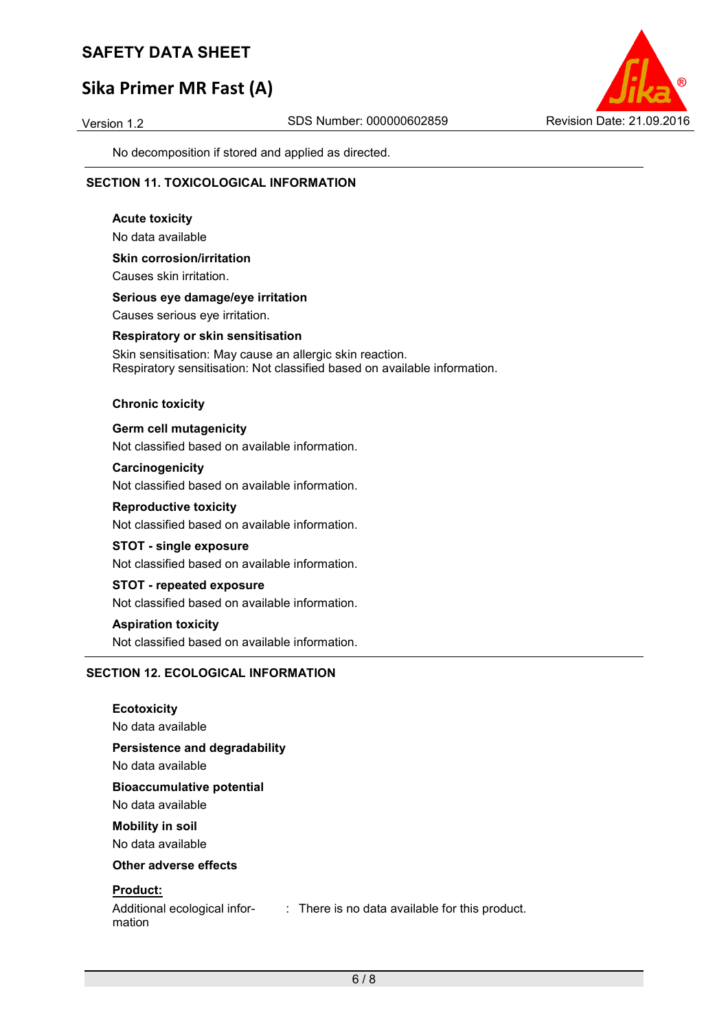# **Sika Primer MR Fast (A)**



No decomposition if stored and applied as directed.

## **SECTION 11. TOXICOLOGICAL INFORMATION**

**Acute toxicity**  No data available **Skin corrosion/irritation**  Causes skin irritation. **Serious eye damage/eye irritation**  Causes serious eye irritation. **Respiratory or skin sensitisation** 

Skin sensitisation: May cause an allergic skin reaction. Respiratory sensitisation: Not classified based on available information.

#### **Chronic toxicity**

**Germ cell mutagenicity** 

Not classified based on available information.

**Carcinogenicity**  Not classified based on available information.

**Reproductive toxicity**  Not classified based on available information.

#### **STOT - single exposure**

Not classified based on available information.

#### **STOT - repeated exposure**

Not classified based on available information.

#### **Aspiration toxicity**

Not classified based on available information.

## **SECTION 12. ECOLOGICAL INFORMATION**

**Ecotoxicity**  No data available **Persistence and degradability**  No data available **Bioaccumulative potential**  No data available **Mobility in soil**  No data available **Other adverse effects Product:** 

mation

Additional ecological infor-: There is no data available for this product.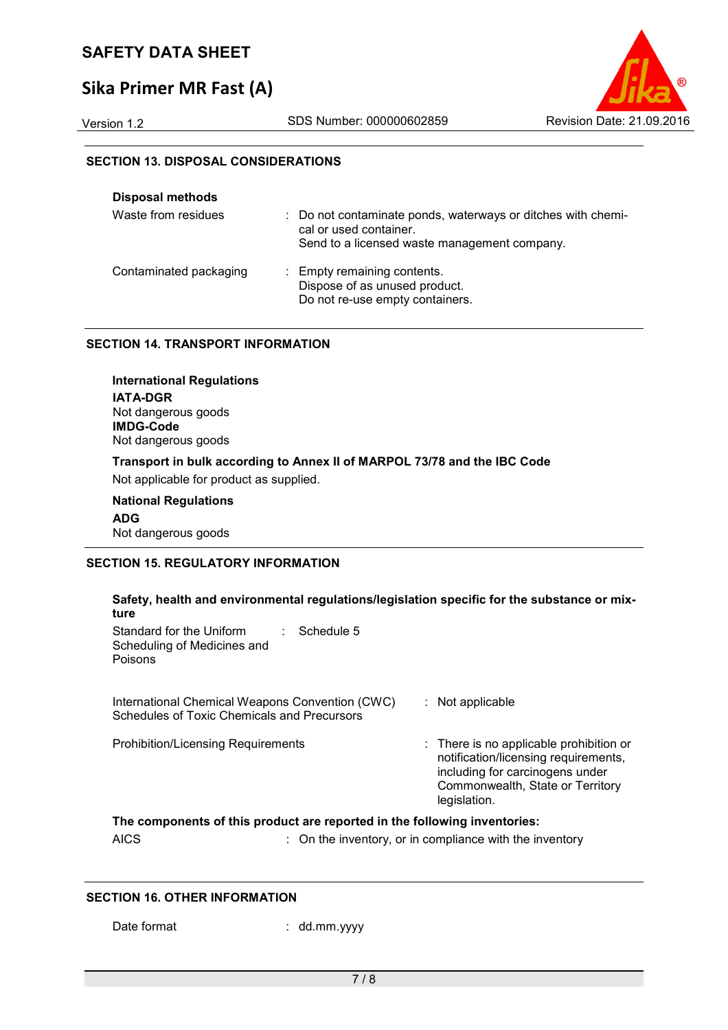# **Sika Primer MR Fast (A)**



## **SECTION 13. DISPOSAL CONSIDERATIONS**

| <b>Disposal methods</b> |                                                                                                                                        |
|-------------------------|----------------------------------------------------------------------------------------------------------------------------------------|
| Waste from residues     | : Do not contaminate ponds, waterways or ditches with chemi-<br>cal or used container.<br>Send to a licensed waste management company. |
| Contaminated packaging  | : Empty remaining contents.<br>Dispose of as unused product.<br>Do not re-use empty containers.                                        |

## **SECTION 14. TRANSPORT INFORMATION**

**International Regulations IATA-DGR** Not dangerous goods **IMDG-Code** Not dangerous goods **Transport in bulk according to Annex II of MARPOL 73/78 and the IBC Code**  Not applicable for product as supplied. **National Regulations** 

**ADG** Not dangerous goods

## **SECTION 15. REGULATORY INFORMATION**

| Safety, health and environmental regulations/legislation specific for the substance or mix-       |                                                                                                                                                                        |  |  |  |  |
|---------------------------------------------------------------------------------------------------|------------------------------------------------------------------------------------------------------------------------------------------------------------------------|--|--|--|--|
| ture<br>Standard for the Uniform<br>Schedule 5<br>diam.<br>Scheduling of Medicines and<br>Poisons |                                                                                                                                                                        |  |  |  |  |
| International Chemical Weapons Convention (CWC)<br>Schedules of Toxic Chemicals and Precursors    | $:$ Not applicable                                                                                                                                                     |  |  |  |  |
| <b>Prohibition/Licensing Requirements</b>                                                         | : There is no applicable prohibition or<br>notification/licensing requirements,<br>including for carcinogens under<br>Commonwealth, State or Territory<br>legislation. |  |  |  |  |
| The components of this product are reported in the following inventories:                         |                                                                                                                                                                        |  |  |  |  |

AICS : On the inventory, or in compliance with the inventory

## **SECTION 16. OTHER INFORMATION**

Date format : dd.mm.yyyy